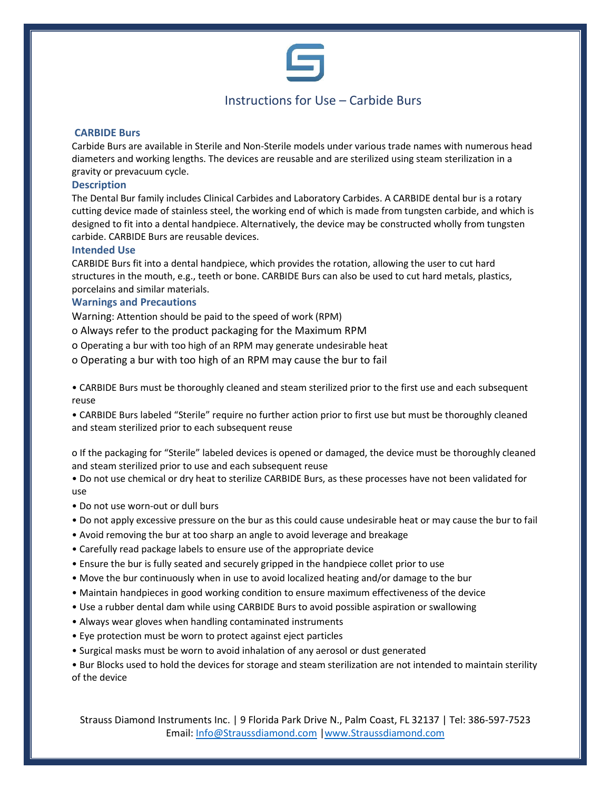

# Instructions for Use – Carbide Burs

### **CARBIDE Burs**

Carbide Burs are available in Sterile and Non-Sterile models under various trade names with numerous head diameters and working lengths. The devices are reusable and are sterilized using steam sterilization in a gravity or prevacuum cycle.

# **Description**

The Dental Bur family includes Clinical Carbides and Laboratory Carbides. A CARBIDE dental bur is a rotary cutting device made of stainless steel, the working end of which is made from tungsten carbide, and which is designed to fit into a dental handpiece. Alternatively, the device may be constructed wholly from tungsten carbide. CARBIDE Burs are reusable devices.

#### **Intended Use**

CARBIDE Burs fit into a dental handpiece, which provides the rotation, allowing the user to cut hard structures in the mouth, e.g., teeth or bone. CARBIDE Burs can also be used to cut hard metals, plastics, porcelains and similar materials.

# **Warnings and Precautions**

Warning: Attention should be paid to the speed of work (RPM)

- o Always refer to the product packaging for the Maximum RPM
- o Operating a bur with too high of an RPM may generate undesirable heat
- o Operating a bur with too high of an RPM may cause the bur to fail

• CARBIDE Burs must be thoroughly cleaned and steam sterilized prior to the first use and each subsequent reuse

• CARBIDE Burs labeled "Sterile" require no further action prior to first use but must be thoroughly cleaned and steam sterilized prior to each subsequent reuse

o If the packaging for "Sterile" labeled devices is opened or damaged, the device must be thoroughly cleaned and steam sterilized prior to use and each subsequent reuse

• Do not use chemical or dry heat to sterilize CARBIDE Burs, as these processes have not been validated for use

- Do not use worn-out or dull burs
- Do not apply excessive pressure on the bur as this could cause undesirable heat or may cause the bur to fail
- Avoid removing the bur at too sharp an angle to avoid leverage and breakage
- Carefully read package labels to ensure use of the appropriate device
- Ensure the bur is fully seated and securely gripped in the handpiece collet prior to use
- Move the bur continuously when in use to avoid localized heating and/or damage to the bur
- Maintain handpieces in good working condition to ensure maximum effectiveness of the device
- Use a rubber dental dam while using CARBIDE Burs to avoid possible aspiration or swallowing
- Always wear gloves when handling contaminated instruments
- Eye protection must be worn to protect against eject particles
- Surgical masks must be worn to avoid inhalation of any aerosol or dust generated

• Bur Blocks used to hold the devices for storage and steam sterilization are not intended to maintain sterility of the device

Strauss Diamond Instruments Inc. | 9 Florida Park Drive N., Palm Coast, FL 32137 | Tel: 386-597-7523 Email: [Info@Straussdiamond.com](mailto:Info@Straussdiamond.com) [|www.Straussdiamond.com](http://www.straussdiamond.com/)